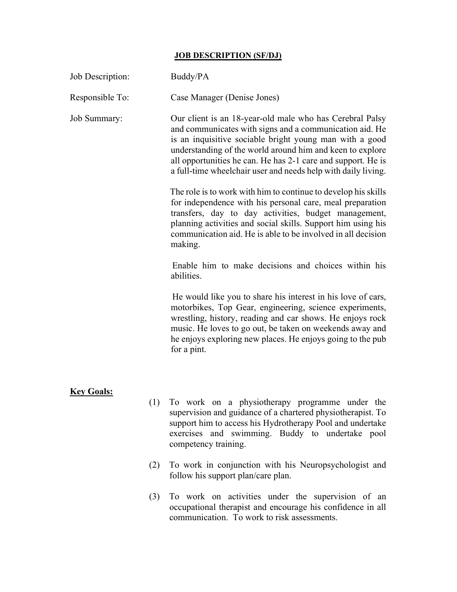## JOB DESCRIPTION (SF/DJ)

| Job Description:    |     | Buddy/PA                                                                                                                                                                                                                                                                                                                                                                     |  |  |  |  |
|---------------------|-----|------------------------------------------------------------------------------------------------------------------------------------------------------------------------------------------------------------------------------------------------------------------------------------------------------------------------------------------------------------------------------|--|--|--|--|
| Responsible To:     |     | Case Manager (Denise Jones)                                                                                                                                                                                                                                                                                                                                                  |  |  |  |  |
| <b>Job Summary:</b> |     | Our client is an 18-year-old male who has Cerebral Palsy<br>and communicates with signs and a communication aid. He<br>is an inquisitive sociable bright young man with a good<br>understanding of the world around him and keen to explore<br>all opportunities he can. He has 2-1 care and support. He is<br>a full-time wheelchair user and needs help with daily living. |  |  |  |  |
|                     |     | The role is to work with him to continue to develop his skills<br>for independence with his personal care, meal preparation<br>transfers, day to day activities, budget management,<br>planning activities and social skills. Support him using his<br>communication aid. He is able to be involved in all decision<br>making.                                               |  |  |  |  |
|                     |     | Enable him to make decisions and choices within his<br>abilities.                                                                                                                                                                                                                                                                                                            |  |  |  |  |
|                     |     | He would like you to share his interest in his love of cars,<br>motorbikes, Top Gear, engineering, science experiments,<br>wrestling, history, reading and car shows. He enjoys rock<br>music. He loves to go out, be taken on weekends away and<br>he enjoys exploring new places. He enjoys going to the pub<br>for a pint.                                                |  |  |  |  |
| <b>Key Goals:</b>   |     |                                                                                                                                                                                                                                                                                                                                                                              |  |  |  |  |
|                     |     | (1) To work on a physiotherapy programme under the<br>supervision and guidance of a chartered physiotherapist. To<br>support him to access his Hydrotherapy Pool and undertake<br>exercises and swimming. Buddy to undertake pool<br>competency training.                                                                                                                    |  |  |  |  |
|                     | (2) | To work in conjunction with his Neuropsychologist and<br>follow his support plan/care plan.                                                                                                                                                                                                                                                                                  |  |  |  |  |
|                     | (3) | To work on activities under the supervision of an                                                                                                                                                                                                                                                                                                                            |  |  |  |  |

occupational therapist and encourage his confidence in all communication. To work to risk assessments.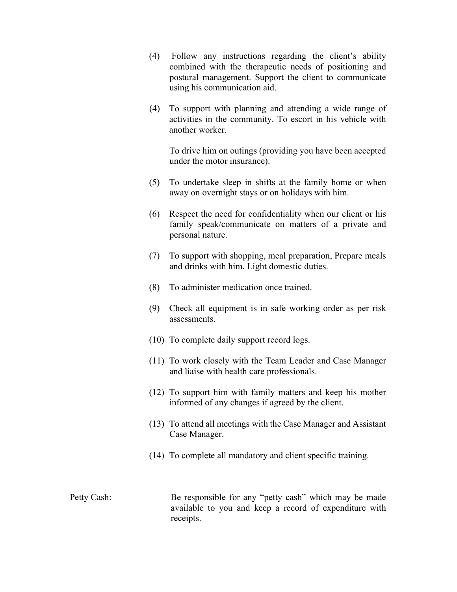- (4) Follow any instructions regarding the client's ability combined with the therapeutic needs of positioning and postural management. Support the client to communicate using his communication aid.
- (4) To support with planning and attending a wide range of activities in the community. To escort in his vehicle with another worker.

To drive him on outings (providing you have been accepted under the motor insurance).

- (5) To undertake sleep in shifts at the family home or when away on overnight stays or on holidays with him.
- (6) Respect the need for confidentiality when our client or his family speak/communicate on matters of a private and personal nature.
- (7) To support with shopping, meal preparation, Prepare meals and drinks with him. Light domestic duties.
- (8) To administer medication once trained.
- (9) Check all equipment is in safe working order as per risk assessments.
- (10) To complete daily support record logs.
- (11) To work closely with the Team Leader and Case Manager and liaise with health care professionals.
- (12) To support him with family matters and keep his mother informed of any changes if agreed by the client.
- (13) To attend all meetings with the Case Manager and Assistant Case Manager.
- (14) To complete all mandatory and client specific training.

Petty Cash: Be responsible for any "petty cash" which may be made available to you and keep a record of expenditure with receipts.